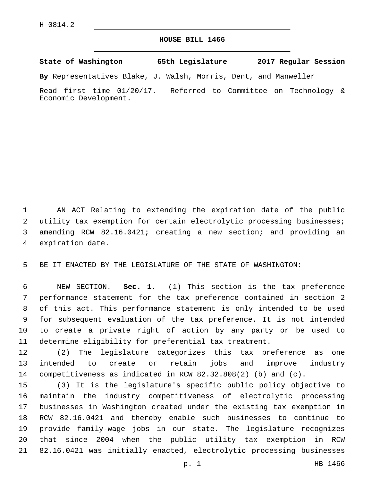## **HOUSE BILL 1466**

**State of Washington 65th Legislature 2017 Regular Session**

**By** Representatives Blake, J. Walsh, Morris, Dent, and Manweller

Read first time 01/20/17. Referred to Committee on Technology & Economic Development.

 AN ACT Relating to extending the expiration date of the public utility tax exemption for certain electrolytic processing businesses; amending RCW 82.16.0421; creating a new section; and providing an 4 expiration date.

BE IT ENACTED BY THE LEGISLATURE OF THE STATE OF WASHINGTON:

 NEW SECTION. **Sec. 1.** (1) This section is the tax preference performance statement for the tax preference contained in section 2 of this act. This performance statement is only intended to be used for subsequent evaluation of the tax preference. It is not intended to create a private right of action by any party or be used to determine eligibility for preferential tax treatment.

 (2) The legislature categorizes this tax preference as one intended to create or retain jobs and improve industry competitiveness as indicated in RCW 82.32.808(2) (b) and (c).

 (3) It is the legislature's specific public policy objective to maintain the industry competitiveness of electrolytic processing businesses in Washington created under the existing tax exemption in RCW 82.16.0421 and thereby enable such businesses to continue to provide family-wage jobs in our state. The legislature recognizes that since 2004 when the public utility tax exemption in RCW 82.16.0421 was initially enacted, electrolytic processing businesses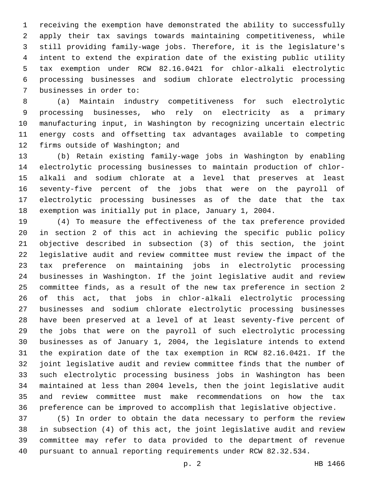receiving the exemption have demonstrated the ability to successfully apply their tax savings towards maintaining competitiveness, while still providing family-wage jobs. Therefore, it is the legislature's intent to extend the expiration date of the existing public utility tax exemption under RCW 82.16.0421 for chlor-alkali electrolytic processing businesses and sodium chlorate electrolytic processing 7 businesses in order to:

 (a) Maintain industry competitiveness for such electrolytic processing businesses, who rely on electricity as a primary manufacturing input, in Washington by recognizing uncertain electric energy costs and offsetting tax advantages available to competing 12 firms outside of Washington; and

 (b) Retain existing family-wage jobs in Washington by enabling electrolytic processing businesses to maintain production of chlor- alkali and sodium chlorate at a level that preserves at least seventy-five percent of the jobs that were on the payroll of electrolytic processing businesses as of the date that the tax exemption was initially put in place, January 1, 2004.

 (4) To measure the effectiveness of the tax preference provided in section 2 of this act in achieving the specific public policy objective described in subsection (3) of this section, the joint legislative audit and review committee must review the impact of the tax preference on maintaining jobs in electrolytic processing businesses in Washington. If the joint legislative audit and review committee finds, as a result of the new tax preference in section 2 of this act, that jobs in chlor-alkali electrolytic processing businesses and sodium chlorate electrolytic processing businesses have been preserved at a level of at least seventy-five percent of the jobs that were on the payroll of such electrolytic processing businesses as of January 1, 2004, the legislature intends to extend the expiration date of the tax exemption in RCW 82.16.0421. If the joint legislative audit and review committee finds that the number of such electrolytic processing business jobs in Washington has been maintained at less than 2004 levels, then the joint legislative audit and review committee must make recommendations on how the tax preference can be improved to accomplish that legislative objective.

 (5) In order to obtain the data necessary to perform the review in subsection (4) of this act, the joint legislative audit and review committee may refer to data provided to the department of revenue pursuant to annual reporting requirements under RCW 82.32.534.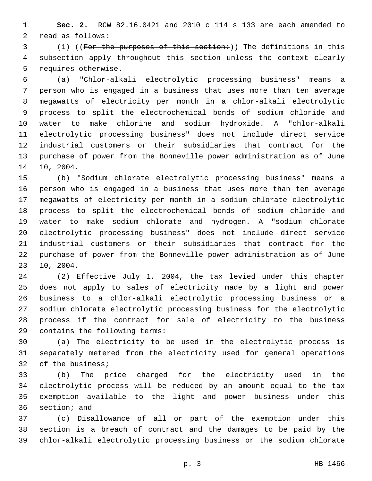**Sec. 2.** RCW 82.16.0421 and 2010 c 114 s 133 are each amended to 2 read as follows:

3 (1) ((For the purposes of this section:)) The definitions in this subsection apply throughout this section unless the context clearly requires otherwise.

 (a) "Chlor-alkali electrolytic processing business" means a person who is engaged in a business that uses more than ten average megawatts of electricity per month in a chlor-alkali electrolytic process to split the electrochemical bonds of sodium chloride and water to make chlorine and sodium hydroxide. A "chlor-alkali electrolytic processing business" does not include direct service industrial customers or their subsidiaries that contract for the purchase of power from the Bonneville power administration as of June 14 10, 2004.

 (b) "Sodium chlorate electrolytic processing business" means a person who is engaged in a business that uses more than ten average megawatts of electricity per month in a sodium chlorate electrolytic process to split the electrochemical bonds of sodium chloride and water to make sodium chlorate and hydrogen. A "sodium chlorate electrolytic processing business" does not include direct service industrial customers or their subsidiaries that contract for the purchase of power from the Bonneville power administration as of June 23 10, 2004.

 (2) Effective July 1, 2004, the tax levied under this chapter does not apply to sales of electricity made by a light and power business to a chlor-alkali electrolytic processing business or a sodium chlorate electrolytic processing business for the electrolytic process if the contract for sale of electricity to the business 29 contains the following terms:

 (a) The electricity to be used in the electrolytic process is separately metered from the electricity used for general operations 32 of the business;

 (b) The price charged for the electricity used in the electrolytic process will be reduced by an amount equal to the tax exemption available to the light and power business under this 36 section; and

 (c) Disallowance of all or part of the exemption under this section is a breach of contract and the damages to be paid by the chlor-alkali electrolytic processing business or the sodium chlorate